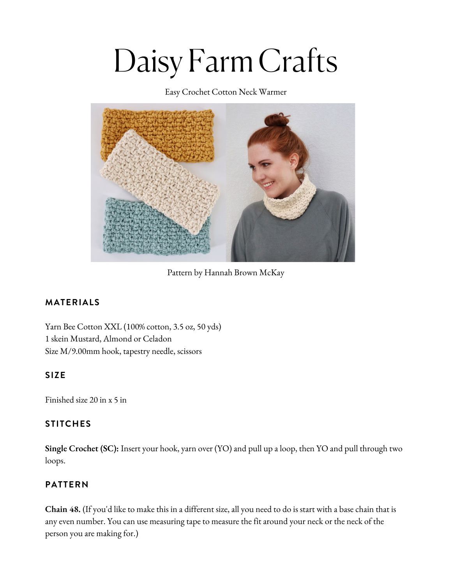# Daisy Farm Crafts

Easy Crochet Cotton Neck Warmer



Pattern by Hannah Brown McKay

## **MATERIALS**

Yarn Bee [Cotton](https://www.yarnspirations.com/bernat-softee-baby-yarn/166030.html?utm_source=Influencer_DFC&utm_medium=blog&utm_campaign=2022_04_22__bernat-softee-baby-yarn) XXL (100% cotton, 3.5 oz, 50 yds) 1 skein [Mustard,](https://www.yarnspirations.com/bernat-softee-baby-yarn/166030.html?utm_source=Influencer_DFC&utm_medium=blog&utm_campaign=2022_04_22__bernat-softee-baby-yarn) Almond or Celadon Size [M/9.00mm](https://www.yarnspirations.com/bernat-softee-baby-yarn/166030.html?utm_source=Influencer_DFC&utm_medium=blog&utm_campaign=2022_04_22__bernat-softee-baby-yarn) hook, tapestry needle, scissors

## **SIZE**

Finished size 20 in x 5 in

## **STITCHES**

**Single Crochet (SC):** Insert your hook, yarn over (YO) and pull up a loop, then YO and pull through two loops.

## **PATTERN**

**Chain 48.** (If you'd like to make this in a different size, all you need to do is start with a base chain that is any even number. You can use measuring tape to measure the fit around your neck or the neck of the person you are making for.)